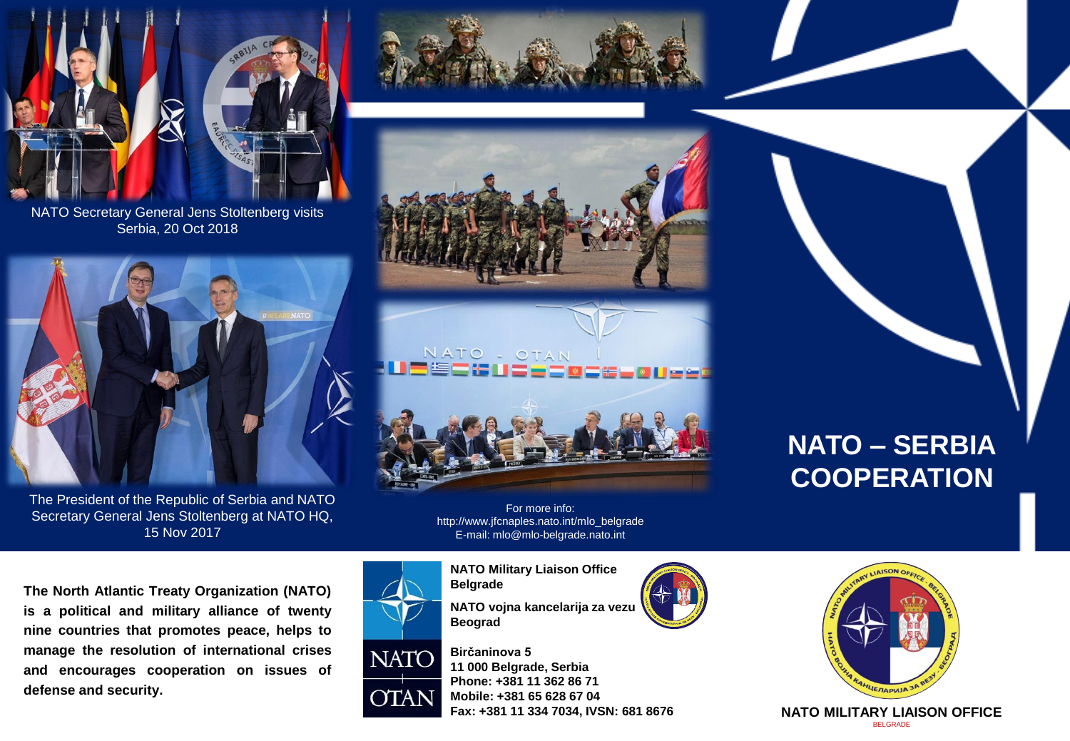

NATO Secretary General Jens Stoltenberg visits Serbia, 20 Oct 2018



The President of the Republic of Serbia and NATO Secretary General Jens Stoltenberg at NATO HQ, 15 Nov 2017



For more info: http://www.jfcnaples.nato.int/mlo\_belgrade E-mail: mlo@mlo-belgrade.nato.int

**The North Atlantic Treaty Organization (NATO) is a political and military alliance of twenty nine countries that promotes peace, helps to manage the resolution of international crises and encourages cooperation on issues of defense and security.**



YTA N

**NATO Military Liaison Office Belgrade**

**NATO vojna kancelarija za vezu Beograd**

**Birčaninova 5 11 000 Belgrade, Serbia Phone: +381 11 362 86 71 Mobile: +381 65 628 67 04 Fax: +381 11 334 7034, IVSN: 681 8676**





**NATO MILITARY LIAISON OFFICE**  BELGRADE

# **NATO – SERBIA COOPERATION**